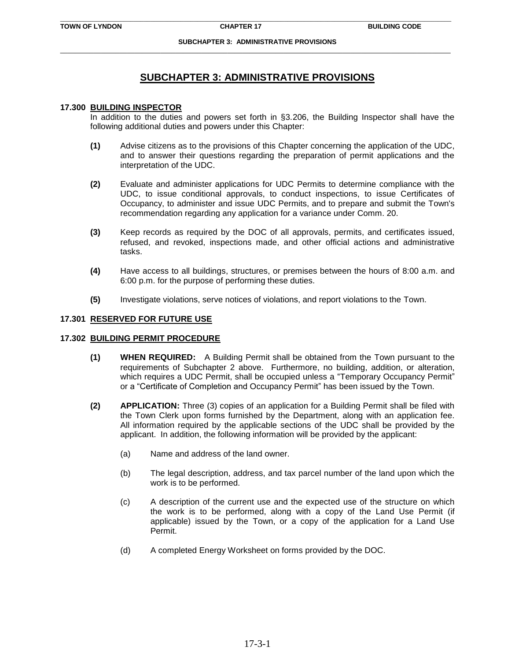# **SUBCHAPTER 3: ADMINISTRATIVE PROVISIONS**

#### **17.300 BUILDING INSPECTOR**

In addition to the duties and powers set forth in §3.206, the Building Inspector shall have the following additional duties and powers under this Chapter:

- **(1)** Advise citizens as to the provisions of this Chapter concerning the application of the UDC, and to answer their questions regarding the preparation of permit applications and the interpretation of the UDC.
- **(2)** Evaluate and administer applications for UDC Permits to determine compliance with the UDC, to issue conditional approvals, to conduct inspections, to issue Certificates of Occupancy, to administer and issue UDC Permits, and to prepare and submit the Town's recommendation regarding any application for a variance under Comm. 20.
- **(3)** Keep records as required by the DOC of all approvals, permits, and certificates issued, refused, and revoked, inspections made, and other official actions and administrative tasks.
- **(4)** Have access to all buildings, structures, or premises between the hours of 8:00 a.m. and 6:00 p.m. for the purpose of performing these duties.
- **(5)** Investigate violations, serve notices of violations, and report violations to the Town.

### **17.301 RESERVED FOR FUTURE USE**

#### **17.302 BUILDING PERMIT PROCEDURE**

- **(1) WHEN REQUIRED:** A Building Permit shall be obtained from the Town pursuant to the requirements of Subchapter 2 above. Furthermore, no building, addition, or alteration, which requires a UDC Permit, shall be occupied unless a "Temporary Occupancy Permit" or a "Certificate of Completion and Occupancy Permit" has been issued by the Town.
- **(2) APPLICATION:** Three (3) copies of an application for a Building Permit shall be filed with the Town Clerk upon forms furnished by the Department, along with an application fee. All information required by the applicable sections of the UDC shall be provided by the applicant. In addition, the following information will be provided by the applicant:
	- (a) Name and address of the land owner.
	- (b) The legal description, address, and tax parcel number of the land upon which the work is to be performed.
	- (c) A description of the current use and the expected use of the structure on which the work is to be performed, along with a copy of the Land Use Permit (if applicable) issued by the Town, or a copy of the application for a Land Use Permit.
	- (d) A completed Energy Worksheet on forms provided by the DOC.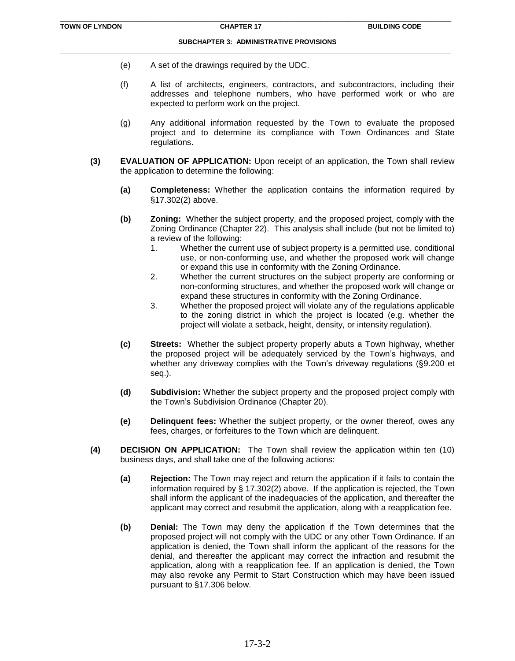- (e) A set of the drawings required by the UDC.
- (f) A list of architects, engineers, contractors, and subcontractors, including their addresses and telephone numbers, who have performed work or who are expected to perform work on the project.
- (g) Any additional information requested by the Town to evaluate the proposed project and to determine its compliance with Town Ordinances and State regulations.
- **(3) EVALUATION OF APPLICATION:** Upon receipt of an application, the Town shall review the application to determine the following:
	- **(a) Completeness:** Whether the application contains the information required by §17.302(2) above.
	- **(b) Zoning:** Whether the subject property, and the proposed project, comply with the Zoning Ordinance (Chapter 22). This analysis shall include (but not be limited to) a review of the following:
		- 1. Whether the current use of subject property is a permitted use, conditional use, or non-conforming use, and whether the proposed work will change or expand this use in conformity with the Zoning Ordinance.
		- 2. Whether the current structures on the subject property are conforming or non-conforming structures, and whether the proposed work will change or expand these structures in conformity with the Zoning Ordinance.
		- 3. Whether the proposed project will violate any of the regulations applicable to the zoning district in which the project is located (e.g. whether the project will violate a setback, height, density, or intensity regulation).
	- **(c) Streets:** Whether the subject property properly abuts a Town highway, whether the proposed project will be adequately serviced by the Town's highways, and whether any driveway complies with the Town's driveway regulations (§9.200 et seq.).
	- **(d) Subdivision:** Whether the subject property and the proposed project comply with the Town's Subdivision Ordinance (Chapter 20).
	- **(e) Delinquent fees:** Whether the subject property, or the owner thereof, owes any fees, charges, or forfeitures to the Town which are delinquent.
- **(4) DECISION ON APPLICATION:** The Town shall review the application within ten (10) business days, and shall take one of the following actions:
	- **(a) Rejection:** The Town may reject and return the application if it fails to contain the information required by § 17.302(2) above. If the application is rejected, the Town shall inform the applicant of the inadequacies of the application, and thereafter the applicant may correct and resubmit the application, along with a reapplication fee.
	- **(b) Denial:** The Town may deny the application if the Town determines that the proposed project will not comply with the UDC or any other Town Ordinance. If an application is denied, the Town shall inform the applicant of the reasons for the denial, and thereafter the applicant may correct the infraction and resubmit the application, along with a reapplication fee. If an application is denied, the Town may also revoke any Permit to Start Construction which may have been issued pursuant to §17.306 below.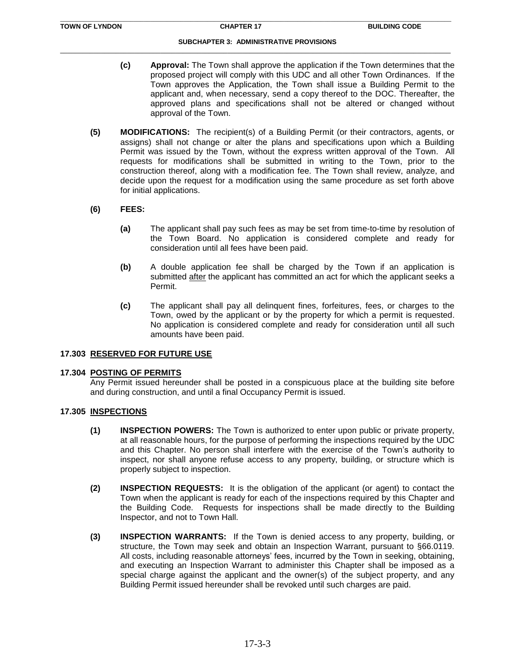- **(c) Approval:** The Town shall approve the application if the Town determines that the proposed project will comply with this UDC and all other Town Ordinances. If the Town approves the Application, the Town shall issue a Building Permit to the applicant and, when necessary, send a copy thereof to the DOC. Thereafter, the approved plans and specifications shall not be altered or changed without approval of the Town.
- **(5) MODIFICATIONS:** The recipient(s) of a Building Permit (or their contractors, agents, or assigns) shall not change or alter the plans and specifications upon which a Building Permit was issued by the Town, without the express written approval of the Town. All requests for modifications shall be submitted in writing to the Town, prior to the construction thereof, along with a modification fee. The Town shall review, analyze, and decide upon the request for a modification using the same procedure as set forth above for initial applications.

## **(6) FEES:**

- **(a)** The applicant shall pay such fees as may be set from time-to-time by resolution of the Town Board. No application is considered complete and ready for consideration until all fees have been paid.
- **(b)** A double application fee shall be charged by the Town if an application is submitted after the applicant has committed an act for which the applicant seeks a Permit.
- **(c)** The applicant shall pay all delinquent fines, forfeitures, fees, or charges to the Town, owed by the applicant or by the property for which a permit is requested. No application is considered complete and ready for consideration until all such amounts have been paid.

### **17.303 RESERVED FOR FUTURE USE**

### **17.304 POSTING OF PERMITS**

Any Permit issued hereunder shall be posted in a conspicuous place at the building site before and during construction, and until a final Occupancy Permit is issued.

### **17.305 INSPECTIONS**

- **(1) INSPECTION POWERS:** The Town is authorized to enter upon public or private property, at all reasonable hours, for the purpose of performing the inspections required by the UDC and this Chapter. No person shall interfere with the exercise of the Town's authority to inspect, nor shall anyone refuse access to any property, building, or structure which is properly subject to inspection.
- **(2) INSPECTION REQUESTS:** It is the obligation of the applicant (or agent) to contact the Town when the applicant is ready for each of the inspections required by this Chapter and the Building Code. Requests for inspections shall be made directly to the Building Inspector, and not to Town Hall.
- **(3) INSPECTION WARRANTS:** If the Town is denied access to any property, building, or structure, the Town may seek and obtain an Inspection Warrant, pursuant to §66.0119. All costs, including reasonable attorneys' fees, incurred by the Town in seeking, obtaining, and executing an Inspection Warrant to administer this Chapter shall be imposed as a special charge against the applicant and the owner(s) of the subject property, and any Building Permit issued hereunder shall be revoked until such charges are paid.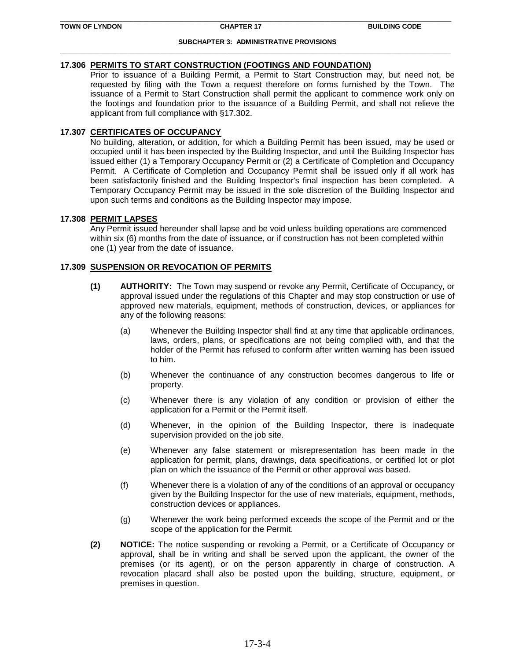## **17.306 PERMITS TO START CONSTRUCTION (FOOTINGS AND FOUNDATION)**

Prior to issuance of a Building Permit, a Permit to Start Construction may, but need not, be requested by filing with the Town a request therefore on forms furnished by the Town. The issuance of a Permit to Start Construction shall permit the applicant to commence work only on the footings and foundation prior to the issuance of a Building Permit, and shall not relieve the applicant from full compliance with §17.302.

## **17.307 CERTIFICATES OF OCCUPANCY**

No building, alteration, or addition, for which a Building Permit has been issued, may be used or occupied until it has been inspected by the Building Inspector, and until the Building Inspector has issued either (1) a Temporary Occupancy Permit or (2) a Certificate of Completion and Occupancy Permit. A Certificate of Completion and Occupancy Permit shall be issued only if all work has been satisfactorily finished and the Building Inspector's final inspection has been completed. A Temporary Occupancy Permit may be issued in the sole discretion of the Building Inspector and upon such terms and conditions as the Building Inspector may impose.

## **17.308 PERMIT LAPSES**

Any Permit issued hereunder shall lapse and be void unless building operations are commenced within six (6) months from the date of issuance, or if construction has not been completed within one (1) year from the date of issuance.

# **17.309 SUSPENSION OR REVOCATION OF PERMITS**

- **(1) AUTHORITY:** The Town may suspend or revoke any Permit, Certificate of Occupancy, or approval issued under the regulations of this Chapter and may stop construction or use of approved new materials, equipment, methods of construction, devices, or appliances for any of the following reasons:
	- (a) Whenever the Building Inspector shall find at any time that applicable ordinances, laws, orders, plans, or specifications are not being complied with, and that the holder of the Permit has refused to conform after written warning has been issued to him.
	- (b) Whenever the continuance of any construction becomes dangerous to life or property.
	- (c) Whenever there is any violation of any condition or provision of either the application for a Permit or the Permit itself.
	- (d) Whenever, in the opinion of the Building Inspector, there is inadequate supervision provided on the job site.
	- (e) Whenever any false statement or misrepresentation has been made in the application for permit, plans, drawings, data specifications, or certified lot or plot plan on which the issuance of the Permit or other approval was based.
	- (f) Whenever there is a violation of any of the conditions of an approval or occupancy given by the Building Inspector for the use of new materials, equipment, methods, construction devices or appliances.
	- (g) Whenever the work being performed exceeds the scope of the Permit and or the scope of the application for the Permit.
- **(2) NOTICE:** The notice suspending or revoking a Permit, or a Certificate of Occupancy or approval, shall be in writing and shall be served upon the applicant, the owner of the premises (or its agent), or on the person apparently in charge of construction. A revocation placard shall also be posted upon the building, structure, equipment, or premises in question.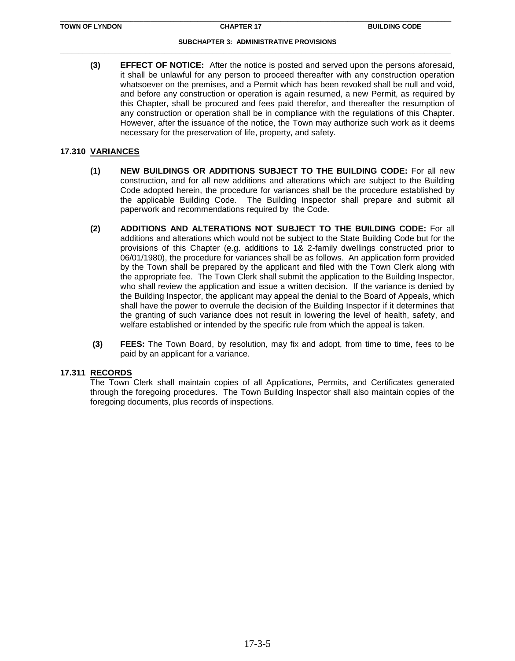**(3) EFFECT OF NOTICE:** After the notice is posted and served upon the persons aforesaid, it shall be unlawful for any person to proceed thereafter with any construction operation whatsoever on the premises, and a Permit which has been revoked shall be null and void, and before any construction or operation is again resumed, a new Permit, as required by this Chapter, shall be procured and fees paid therefor, and thereafter the resumption of any construction or operation shall be in compliance with the regulations of this Chapter. However, after the issuance of the notice, the Town may authorize such work as it deems necessary for the preservation of life, property, and safety.

## **17.310 VARIANCES**

- **(1) NEW BUILDINGS OR ADDITIONS SUBJECT TO THE BUILDING CODE:** For all new construction, and for all new additions and alterations which are subject to the Building Code adopted herein, the procedure for variances shall be the procedure established by the applicable Building Code. The Building Inspector shall prepare and submit all paperwork and recommendations required by the Code.
- **(2) ADDITIONS AND ALTERATIONS NOT SUBJECT TO THE BUILDING CODE:** For all additions and alterations which would not be subject to the State Building Code but for the provisions of this Chapter (e.g. additions to 1& 2-family dwellings constructed prior to 06/01/1980), the procedure for variances shall be as follows. An application form provided by the Town shall be prepared by the applicant and filed with the Town Clerk along with the appropriate fee. The Town Clerk shall submit the application to the Building Inspector, who shall review the application and issue a written decision. If the variance is denied by the Building Inspector, the applicant may appeal the denial to the Board of Appeals, which shall have the power to overrule the decision of the Building Inspector if it determines that the granting of such variance does not result in lowering the level of health, safety, and welfare established or intended by the specific rule from which the appeal is taken.
- **(3) FEES:** The Town Board, by resolution, may fix and adopt, from time to time, fees to be paid by an applicant for a variance.

### **17.311 RECORDS**

The Town Clerk shall maintain copies of all Applications, Permits, and Certificates generated through the foregoing procedures. The Town Building Inspector shall also maintain copies of the foregoing documents, plus records of inspections.